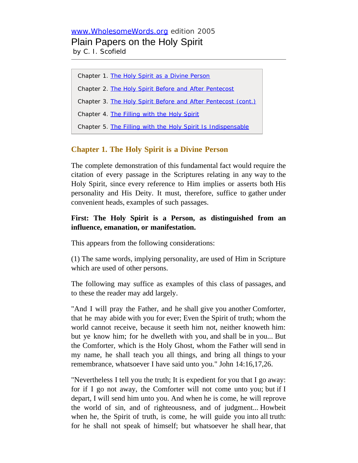# [www.WholesomeWords.org](http://www.wholesomewords.org/) edition 2005 Plain Papers on the Holy Spirit

by C. I. Scofield

Chapter 1. [The Holy Spirit as a Divine Person](#page-0-0) Chapter 2. [The Holy Spirit Before and After Pentecost](#page-4-0) Chapter 3. [The Holy Spirit Before and After Pentecost \(cont.\)](#page-7-0) Chapter 4. [The Filling with the Holy Spirit](#page-12-0) Chapter 5. [The Filling with the Holy Spirit Is Indispensable](#page-18-0)

# <span id="page-0-0"></span>**Chapter 1. The Holy Spirit is a Divine Person**

The complete demonstration of this fundamental fact would require the citation of every passage in the Scriptures relating in any way to the Holy Spirit, since every reference to Him implies or asserts both His personality and His Deity. It must, therefore, suffice to gather under convenient heads, examples of such passages.

# **First: The Holy Spirit is a Person, as distinguished from an influence, emanation, or manifestation.**

This appears from the following considerations:

(1) The same words, implying personality, are used of Him in Scripture which are used of other persons.

The following may suffice as examples of this class of passages, and to these the reader may add largely.

"And I will pray the Father, and he shall give you another Comforter, that he may abide with you for ever; Even the Spirit of truth; whom the world cannot receive, because it seeth him not, neither knoweth him: but ye know him; for he dwelleth with you, and shall be in you... But the Comforter, which is the Holy Ghost, whom the Father will send in my name, he shall teach you all things, and bring all things to your remembrance, whatsoever I have said unto you." John 14:16,17,26.

"Nevertheless I tell you the truth; It is expedient for you that I go away: for if I go not away, the Comforter will not come unto you; but if I depart, I will send him unto you. And when he is come, he will reprove the world of sin, and of righteousness, and of judgment... Howbeit when he, the Spirit of truth, is come, he will guide you into all truth: for he shall not speak of himself; but whatsoever he shall hear, that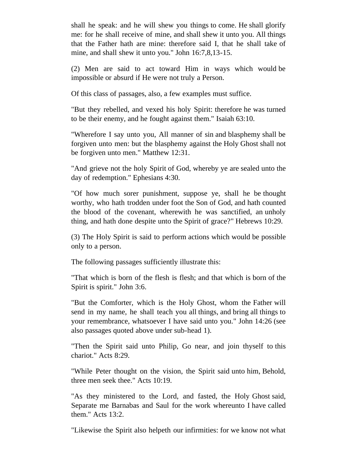shall he speak: and he will shew you things to come. He shall glorify me: for he shall receive of mine, and shall shew it unto you. All things that the Father hath are mine: therefore said I, that he shall take of mine, and shall shew it unto you." John 16:7,8,13-15.

(2) Men are said to act toward Him in ways which would be impossible or absurd if He were not truly a Person.

Of this class of passages, also, a few examples must suffice.

"But they rebelled, and vexed his holy Spirit: therefore he was turned to be their enemy, and he fought against them." Isaiah 63:10.

"Wherefore I say unto you, All manner of sin and blasphemy shall be forgiven unto men: but the blasphemy against the Holy Ghost shall not be forgiven unto men." Matthew 12:31.

"And grieve not the holy Spirit of God, whereby ye are sealed unto the day of redemption." Ephesians 4:30.

"Of how much sorer punishment, suppose ye, shall he be thought worthy, who hath trodden under foot the Son of God, and hath counted the blood of the covenant, wherewith he was sanctified, an unholy thing, and hath done despite unto the Spirit of grace?" Hebrews 10:29.

(3) The Holy Spirit is said to perform actions which would be possible only to a person.

The following passages sufficiently illustrate this:

"That which is born of the flesh is flesh; and that which is born of the Spirit is spirit." John 3:6.

"But the Comforter, which is the Holy Ghost, whom the Father will send in my name, he shall teach you all things, and bring all things to your remembrance, whatsoever I have said unto you." John 14:26 (see also passages quoted above under sub-head 1).

"Then the Spirit said unto Philip, Go near, and join thyself to this chariot." Acts 8:29.

"While Peter thought on the vision, the Spirit said unto him, Behold, three men seek thee." Acts 10:19.

"As they ministered to the Lord, and fasted, the Holy Ghost said, Separate me Barnabas and Saul for the work whereunto I have called them." Acts 13:2.

"Likewise the Spirit also helpeth our infirmities: for we know not what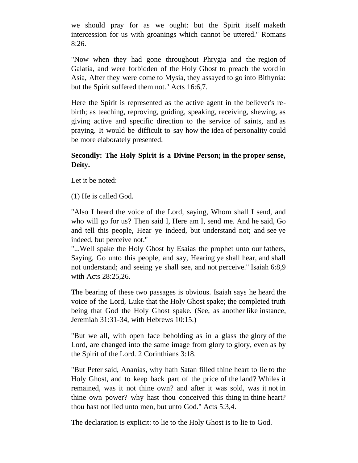we should pray for as we ought: but the Spirit itself maketh intercession for us with groanings which cannot be uttered." Romans 8:26.

"Now when they had gone throughout Phrygia and the region of Galatia, and were forbidden of the Holy Ghost to preach the word in Asia, After they were come to Mysia, they assayed to go into Bithynia: but the Spirit suffered them not." Acts 16:6,7.

Here the Spirit is represented as the active agent in the believer's rebirth; as teaching, reproving, guiding, speaking, receiving, shewing, as giving active and specific direction to the service of saints, and as praying. It would be difficult to say how the idea of personality could be more elaborately presented.

# **Secondly: The Holy Spirit is a Divine Person; in the proper sense, Deity.**

Let it be noted:

(1) He is called God.

"Also I heard the voice of the Lord, saying, Whom shall I send, and who will go for us? Then said I, Here am I, send me. And he said, Go and tell this people, Hear ye indeed, but understand not; and see ye indeed, but perceive not."

"...Well spake the Holy Ghost by Esaias the prophet unto our fathers, Saying, Go unto this people, and say, Hearing ye shall hear, and shall not understand; and seeing ye shall see, and not perceive." Isaiah 6:8,9 with Acts 28:25,26.

The bearing of these two passages is obvious. Isaiah says he heard the voice of the Lord, Luke that the Holy Ghost spake; the completed truth being that God the Holy Ghost spake. (See, as another like instance, Jeremiah 31:31-34, with Hebrews 10:15.)

"But we all, with open face beholding as in a glass the glory of the Lord, are changed into the same image from glory to glory, even as by the Spirit of the Lord. 2 Corinthians 3:18.

"But Peter said, Ananias, why hath Satan filled thine heart to lie to the Holy Ghost, and to keep back part of the price of the land? Whiles it remained, was it not thine own? and after it was sold, was it not in thine own power? why hast thou conceived this thing in thine heart? thou hast not lied unto men, but unto God." Acts 5:3,4.

The declaration is explicit: to lie to the Holy Ghost is to lie to God.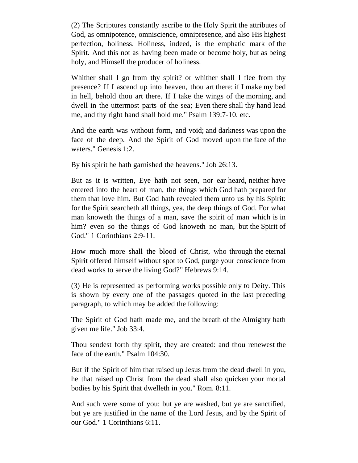(2) The Scriptures constantly ascribe to the Holy Spirit the attributes of God, as omnipotence, omniscience, omnipresence, and also His highest perfection, holiness. Holiness, indeed, is the emphatic mark of the Spirit. And this not as having been made or become holy, but as being holy, and Himself the producer of holiness.

Whither shall I go from thy spirit? or whither shall I flee from thy presence? If I ascend up into heaven, thou art there: if I make my bed in hell, behold thou art there. If I take the wings of the morning, and dwell in the uttermost parts of the sea; Even there shall thy hand lead me, and thy right hand shall hold me." Psalm 139:7-10. etc.

And the earth was without form, and void; and darkness was upon the face of the deep. And the Spirit of God moved upon the face of the waters." Genesis 1:2.

By his spirit he hath garnished the heavens." Job 26:13.

But as it is written, Eye hath not seen, nor ear heard, neither have entered into the heart of man, the things which God hath prepared for them that love him. But God hath revealed them unto us by his Spirit: for the Spirit searcheth all things, yea, the deep things of God. For what man knoweth the things of a man, save the spirit of man which is in him? even so the things of God knoweth no man, but the Spirit of God." 1 Corinthians 2:9-11.

How much more shall the blood of Christ, who through the eternal Spirit offered himself without spot to God, purge your conscience from dead works to serve the living God?" Hebrews 9:14.

(3) He is represented as performing works possible only to Deity. This is shown by every one of the passages quoted in the last preceding paragraph, to which may be added the following:

The Spirit of God hath made me, and the breath of the Almighty hath given me life." Job 33:4.

Thou sendest forth thy spirit, they are created: and thou renewest the face of the earth." Psalm 104:30.

But if the Spirit of him that raised up Jesus from the dead dwell in you, he that raised up Christ from the dead shall also quicken your mortal bodies by his Spirit that dwelleth in you." Rom. 8:11.

And such were some of you: but ye are washed, but ye are sanctified, but ye are justified in the name of the Lord Jesus, and by the Spirit of our God." 1 Corinthians 6:11.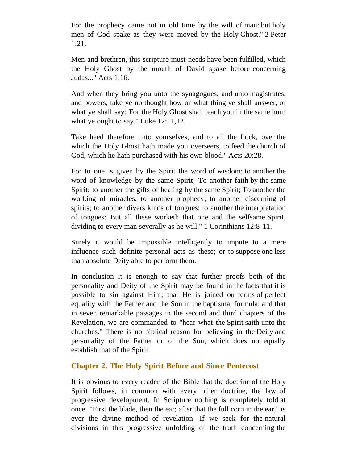For the prophecy came not in old time by the will of man: but holy men of God spake as they were moved by the Holy Ghost." 2 Peter 1:21.

Men and brethren, this scripture must needs have been fulfilled, which the Holy Ghost by the mouth of David spake before concerning Judas..." Acts 1:16.

And when they bring you unto the synagogues, and unto magistrates, and powers, take ye no thought how or what thing ye shall answer, or what ye shall say: For the Holy Ghost shall teach you in the same hour what ye ought to say." Luke 12:11,12.

Take heed therefore unto yourselves, and to all the flock, over the which the Holy Ghost hath made you overseers, to feed the church of God, which he hath purchased with his own blood." Acts 20:28.

For to one is given by the Spirit the word of wisdom; to another the word of knowledge by the same Spirit; To another faith by the same Spirit; to another the gifts of healing by the same Spirit; To another the working of miracles; to another prophecy; to another discerning of spirits; to another divers kinds of tongues; to another the interpretation of tongues: But all these worketh that one and the selfsame Spirit, dividing to every man severally as he will." 1 Corinthians 12:8-11.

Surely it would be impossible intelligently to impute to a mere influence such definite personal acts as these; or to suppose one less than absolute Deity able to perform them.

In conclusion it is enough to say that further proofs both of the personality and Deity of the Spirit may be found in the facts that it is possible to sin against Him; that He is joined on terms of perfect equality with the Father and the Son in the baptismal formula; and that in seven remarkable passages in the second and third chapters of the Revelation, we are commanded to "hear what the Spirit saith unto the churches." There is no biblical reason for believing in the Deity and personality of the Father or of the Son, which does not equally establish that of the Spirit.

## <span id="page-4-0"></span>**Chapter 2. The Holy Spirit Before and Since Pentecost**

It is obvious to every reader of the Bible that the doctrine of the Holy Spirit follows, in common with every other doctrine, the law of progressive development. In Scripture nothing is completely told at once. "First the blade, then the ear; after that the full corn in the ear," is ever the divine method of revelation. If we seek for the natural divisions in this progressive unfolding of the truth concerning the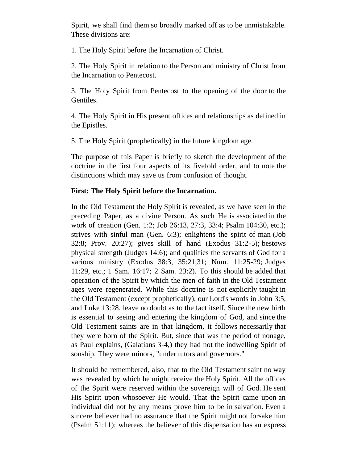Spirit, we shall find them so broadly marked off as to be unmistakable. These divisions are:

1. The Holy Spirit before the Incarnation of Christ.

2. The Holy Spirit in relation to the Person and ministry of Christ from the Incarnation to Pentecost.

3. The Holy Spirit from Pentecost to the opening of the door to the Gentiles.

4. The Holy Spirit in His present offices and relationships as defined in the Epistles.

5. The Holy Spirit (prophetically) in the future kingdom age.

The purpose of this Paper is briefly to sketch the development of the doctrine in the first four aspects of its fivefold order, and to note the distinctions which may save us from confusion of thought.

#### **First: The Holy Spirit before the Incarnation.**

In the Old Testament the Holy Spirit is revealed, as we have seen in the preceding Paper, as a divine Person. As such He is associated in the work of creation (Gen. 1:2; Job 26:13, 27:3, 33:4; Psalm 104:30, etc.); strives with sinful man (Gen. 6:3); enlightens the spirit of man (Job 32:8; Prov. 20:27); gives skill of hand (Exodus 31:2-5); bestows physical strength (Judges 14:6); and qualifies the servants of God for a various ministry (Exodus 38:3, 35:21,31; Num. 11:25-29; Judges 11:29, etc.; 1 Sam. 16:17; 2 Sam. 23:2). To this should be added that operation of the Spirit by which the men of faith in the Old Testament ages were regenerated. While this doctrine is not explicitly taught in the Old Testament (except prophetically), our Lord's words in John 3:5, and Luke 13:28, leave no doubt as to the fact itself. Since the new birth is essential to seeing and entering the kingdom of God, and since the Old Testament saints are in that kingdom, it follows necessarily that they were born of the Spirit. But, since that was the period of nonage, as Paul explains, (Galatians 3-4,) they had not the indwelling Spirit of sonship. They were minors, "under tutors and governors."

It should be remembered, also, that to the Old Testament saint no way was revealed by which he might receive the Holy Spirit. All the offices of the Spirit were reserved within the sovereign will of God. He sent His Spirit upon whosoever He would. That the Spirit came upon an individual did not by any means prove him to be in salvation. Even a sincere believer had no assurance that the Spirit might not forsake him (Psalm 51:11); whereas the believer of this dispensation has an express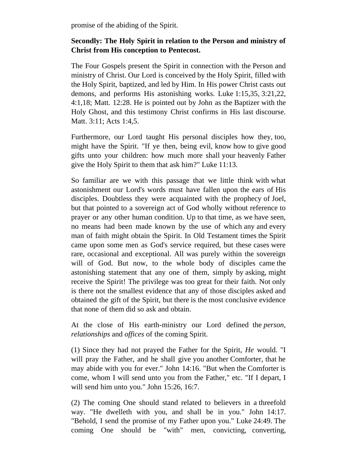promise of the abiding of the Spirit.

## **Secondly: The Holy Spirit in relation to the Person and ministry of Christ from His conception to Pentecost.**

The Four Gospels present the Spirit in connection with the Person and ministry of Christ. Our Lord is conceived by the Holy Spirit, filled with the Holy Spirit, baptized, and led by Him. In His power Christ casts out demons, and performs His astonishing works. Luke 1:15,35, 3:21,22, 4:1,18; Matt. 12:28. He is pointed out by John as the Baptizer with the Holy Ghost, and this testimony Christ confirms in His last discourse. Matt. 3:11; Acts 1:4,5.

Furthermore, our Lord taught His personal disciples how they, too, might have the Spirit. "If ye then, being evil, know how to give good gifts unto your children: how much more shall your heavenly Father give the Holy Spirit to them that ask him?" Luke 11:13.

So familiar are we with this passage that we little think with what astonishment our Lord's words must have fallen upon the ears of His disciples. Doubtless they were acquainted with the prophecy of Joel, but that pointed to a sovereign act of God wholly without reference to prayer or any other human condition. Up to that time, as we have seen, no means had been made known by the use of which any and every man of faith might obtain the Spirit. In Old Testament times the Spirit came upon some men as God's service required, but these cases were rare, occasional and exceptional. All was purely within the sovereign will of God. But now, to the whole body of disciples came the astonishing statement that any one of them, simply by asking, might receive the Spirit! The privilege was too great for their faith. Not only is there not the smallest evidence that any of those disciples asked and obtained the gift of the Spirit, but there is the most conclusive evidence that none of them did so ask and obtain.

At the close of His earth-ministry our Lord defined the *person, relationships* and *offices* of the coming Spirit.

(1) Since they had not prayed the Father for the Spirit, *He* would. "I will pray the Father, and he shall give you another Comforter, that he may abide with you for ever." John 14:16. "But when the Comforter is come, whom I will send unto you from the Father," etc. "If I depart, I will send him unto you." John 15:26, 16:7.

(2) The coming One should stand related to believers in a threefold way. "He dwelleth with you, and shall be in you." John 14:17. "Behold, I send the promise of my Father upon you." Luke 24:49. The coming One should be "with" men, convicting, converting,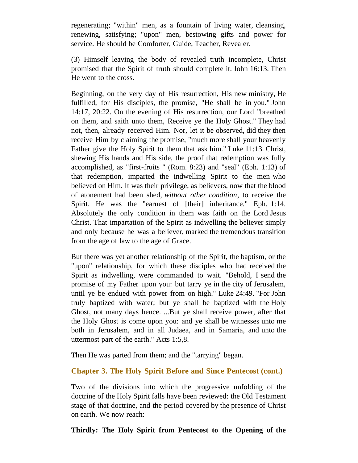regenerating; "within" men, as a fountain of living water, cleansing, renewing, satisfying; "upon" men, bestowing gifts and power for service. He should be Comforter, Guide, Teacher, Revealer.

(3) Himself leaving the body of revealed truth incomplete, Christ promised that the Spirit of truth should complete it. John 16:13. Then He went to the cross.

Beginning, on the very day of His resurrection, His new ministry, He fulfilled, for His disciples, the promise, "He shall be in you." John 14:17, 20:22. On the evening of His resurrection, our Lord "breathed on them, and saith unto them, Receive ye the Holy Ghost." They had not, then, already received Him. Nor, let it be observed, did they then receive Him by claiming the promise, "much more shall your heavenly Father give the Holy Spirit to them that ask him." Luke 11:13. Christ, shewing His hands and His side, the proof that redemption was fully accomplished, as "first-fruits " (Rom. 8:23) and "seal" (Eph. 1:13) of that redemption, imparted the indwelling Spirit to the men who believed on Him. It was their privilege, as believers, now that the blood of atonement had been shed, *without other condition*, to receive the Spirit. He was the "earnest of [their] inheritance." Eph. 1:14. Absolutely the only condition in them was faith on the Lord Jesus Christ. That impartation of the Spirit as indwelling the believer simply and only because he was a believer, marked the tremendous transition from the age of law to the age of Grace.

But there was yet another relationship of the Spirit, the baptism, or the "upon" relationship, for which these disciples who had received the Spirit as indwelling, were commanded to wait. "Behold, I send the promise of my Father upon you: but tarry ye in the city of Jerusalem, until ye be endued with power from on high." Luke 24:49. "For John truly baptized with water; but ye shall be baptized with the Holy Ghost, not many days hence. ...But ye shall receive power, after that the Holy Ghost is come upon you: and ye shall be witnesses unto me both in Jerusalem, and in all Judaea, and in Samaria, and unto the uttermost part of the earth." Acts 1:5,8.

Then He was parted from them; and the "tarrying" began.

# <span id="page-7-0"></span>**Chapter 3. The Holy Spirit Before and Since Pentecost (cont.)**

Two of the divisions into which the progressive unfolding of the doctrine of the Holy Spirit falls have been reviewed: the Old Testament stage of that doctrine, and the period covered by the presence of Christ on earth. We now reach:

**Thirdly: The Holy Spirit from Pentecost to the Opening of the**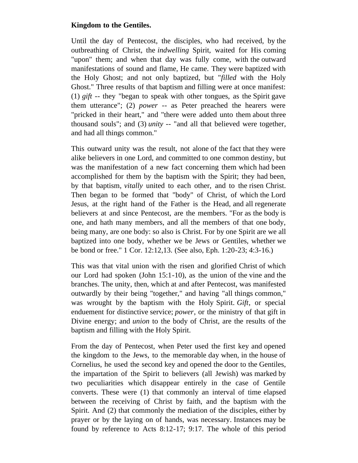#### **Kingdom to the Gentiles.**

Until the day of Pentecost, the disciples, who had received, by the outbreathing of Christ, the *indwelling* Spirit, waited for His coming "upon" them; and when that day was fully come, with the outward manifestations of sound and flame, He came. They were baptized with the Holy Ghost; and not only baptized, but "*filled* with the Holy Ghost." Three results of that baptism and filling were at once manifest: (1) *gift* -- they "began to speak with other tongues, as the Spirit gave them utterance"; (2) *power -*- as Peter preached the hearers were "pricked in their heart," and "there were added unto them about three thousand souls"; and (3) *unity* -- "and all that believed were together, and had all things common."

This outward unity was the result, not alone of the fact that they were alike believers in one Lord, and committed to one common destiny, but was the manifestation of a new fact concerning them which had been accomplished for them by the baptism with the Spirit; they had been, by that baptism, *vitally* united to each other, and to the risen Christ. Then began to be formed that "body" of Christ, of which the Lord Jesus, at the right hand of the Father is the Head, and all regenerate believers at and since Pentecost, are the members. "For as the body is one, and hath many members, and all the members of that one body, being many, are one body: so also is Christ. For by one Spirit are we all baptized into one body, whether we be Jews or Gentiles, whether we be bond or free." 1 Cor. 12:12,13. (See also, Eph. 1:20-23; 4:3-16.)

This was that vital union with the risen and glorified Christ of which our Lord had spoken (John 15:1-10), as the union of the vine and the branches. The unity, then, which at and after Pentecost, was manifested outwardly by their being "together," and having "all things common," was wrought by the baptism with the Holy Spirit. *Gift*, or special enduement for distinctive service; *power*, or the ministry of that gift in Divine energy; and *union* to the body of Christ, are the results of the baptism and filling with the Holy Spirit.

From the day of Pentecost, when Peter used the first key and opened the kingdom to the Jews, to the memorable day when, in the house of Cornelius, he used the second key and opened the door to the Gentiles, the impartation of the Spirit to believers (all Jewish) was marked by two peculiarities which disappear entirely in the case of Gentile converts. These were (1) that commonly an interval of time elapsed between the receiving of Christ by faith, and the baptism with the Spirit. And (2) that commonly the mediation of the disciples, either by prayer or by the laying on of hands, was necessary. Instances may be found by reference to Acts 8:12-17; 9:17. The whole of this period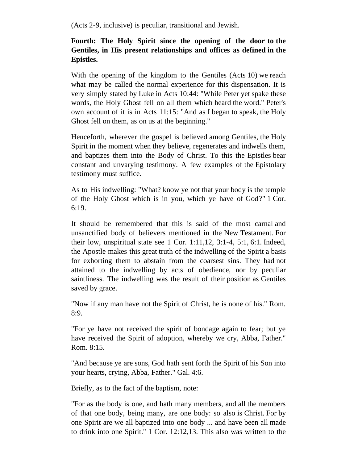(Acts 2-9, inclusive) is peculiar, transitional and Jewish.

# **Fourth: The Holy Spirit since the opening of the door to the Gentiles, in His present relationships and offices as defined in the Epistles.**

With the opening of the kingdom to the Gentiles (Acts 10) we reach what may be called the normal experience for this dispensation. It is very simply stated by Luke in Acts 10:44: "While Peter yet spake these words, the Holy Ghost fell on all them which heard the word." Peter's own account of it is in Acts 11:15: "And as I began to speak, the Holy Ghost fell on them, as on us at the beginning."

Henceforth, wherever the gospel is believed among Gentiles, the Holy Spirit in the moment when they believe, regenerates and indwells them, and baptizes them into the Body of Christ. To this the Epistles bear constant and unvarying testimony. A few examples of the Epistolary testimony must suffice.

As to His indwelling: "What? know ye not that your body is the temple of the Holy Ghost which is in you, which ye have of God?" 1 Cor. 6:19.

It should be remembered that this is said of the most carnal and unsanctified body of believers mentioned in the New Testament. For their low, unspiritual state see 1 Cor. 1:11,12, 3:1-4, 5:1, 6:1. Indeed, the Apostle makes this great truth of the indwelling of the Spirit a basis for exhorting them to abstain from the coarsest sins. They had not attained to the indwelling by acts of obedience, nor by peculiar saintliness. The indwelling was the result of their position as Gentiles saved by grace.

"Now if any man have not the Spirit of Christ, he is none of his." Rom. 8:9.

"For ye have not received the spirit of bondage again to fear; but ye have received the Spirit of adoption, whereby we cry, Abba, Father." Rom. 8:15.

"And because ye are sons, God hath sent forth the Spirit of his Son into your hearts, crying, Abba, Father." Gal. 4:6.

Briefly, as to the fact of the baptism, note:

"For as the body is one, and hath many members, and all the members of that one body, being many, are one body: so also is Christ. For by one Spirit are we all baptized into one body ... and have been all made to drink into one Spirit." 1 Cor. 12:12,13. This also was written to the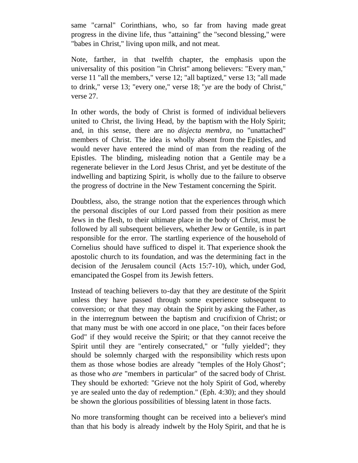same "carnal" Corinthians, who, so far from having made great progress in the divine life, thus "attaining" the "second blessing," were "babes in Christ," living upon milk, and not meat.

Note, farther, in that twelfth chapter, the emphasis upon the universality of this position "in Christ" among believers: "Every man," verse 11 "all the members," verse 12; "all baptized," verse 13; "all made to drink," verse 13; "every one," verse 18; "*ye* are the body of Christ," verse 27.

In other words, the body of Christ is formed of individual believers united to Christ, the living Head, by the baptism with the Holy Spirit; and, in this sense, there are no *disjecta membra*, no "unattached" members of Christ. The idea is wholly absent from the Epistles, and would never have entered the mind of man from the reading of the Epistles. The blinding, misleading notion that a Gentile may be a regenerate believer in the Lord Jesus Christ, and yet be destitute of the indwelling and baptizing Spirit, is wholly due to the failure to observe the progress of doctrine in the New Testament concerning the Spirit.

Doubtless, also, the strange notion that the experiences through which the personal disciples of our Lord passed from their position as mere Jews in the flesh, to their ultimate place in the body of Christ, must be followed by all subsequent believers, whether Jew or Gentile, is in part responsible for the error. The startling experience of the household of Cornelius should have sufficed to dispel it. That experience shook the apostolic church to its foundation, and was the determining fact in the decision of the Jerusalem council (Acts 15:7-10), which, under God, emancipated the Gospel from its Jewish fetters.

Instead of teaching believers to-day that they are destitute of the Spirit unless they have passed through some experience subsequent to conversion; or that they may obtain the Spirit by asking the Father, as in the interregnum between the baptism and crucifixion of Christ; or that many must be with one accord in one place, "on their faces before God" if they would receive the Spirit; or that they cannot receive the Spirit until they are "entirely consecrated," or "fully yielded"; they should be solemnly charged with the responsibility which rests upon them as those whose bodies are already "temples of the Holy Ghost"; as those who *are* "members in particular" of the sacred body of Christ. They should be exhorted: "Grieve not the holy Spirit of God, whereby ye are sealed unto the day of redemption." (Eph. 4:30); and they should be shown the glorious possibilities of blessing latent in those facts.

No more transforming thought can be received into a believer's mind than that his body is already indwelt by the Holy Spirit, and that he is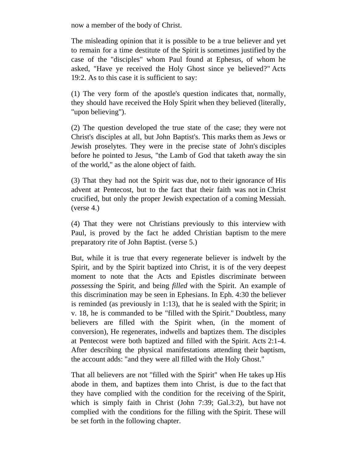now a member of the body of Christ.

The misleading opinion that it is possible to be a true believer and yet to remain for a time destitute of the Spirit is sometimes justified by the case of the "disciples" whom Paul found at Ephesus, of whom he asked, "Have ye received the Holy Ghost since ye believed?" Acts 19:2. As to this case it is sufficient to say:

(1) The very form of the apostle's question indicates that, normally, they should have received the Holy Spirit when they believed (literally, "upon believing").

(2) The question developed the true state of the case; they were not Christ's disciples at all, but John Baptist's. This marks them as Jews or Jewish proselytes. They were in the precise state of John's disciples before he pointed to Jesus, "the Lamb of God that taketh away the sin of the world," as the alone object of faith.

(3) That they had not the Spirit was due, not to their ignorance of His advent at Pentecost, but to the fact that their faith was not in Christ crucified, but only the proper Jewish expectation of a coming Messiah. (verse 4.)

(4) That they were not Christians previously to this interview with Paul, is proved by the fact he added Christian baptism to the mere preparatory rite of John Baptist. (verse 5.)

But, while it is true that every regenerate believer is indwelt by the Spirit, and by the Spirit baptized into Christ, it is of the very deepest moment to note that the Acts and Epistles discriminate between *possessing* the Spirit, and being *filled* with the Spirit. An example of this discrimination may be seen in Ephesians. In Eph. 4:30 the believer is reminded (as previously in 1:13), that he is sealed with the Spirit; in v. 18, he is commanded to be "filled with the Spirit." Doubtless, many believers are filled with the Spirit when, (in the moment of conversion), He regenerates, indwells and baptizes them. The disciples at Pentecost were both baptized and filled with the Spirit. Acts 2:1-4. After describing the physical manifestations attending their baptism, the account adds: "and they were all filled with the Holy Ghost."

That all believers are not "filled with the Spirit" when He takes up His abode in them, and baptizes them into Christ, is due to the fact that they have complied with the condition for the receiving of the Spirit, which is simply faith in Christ (John 7:39; Gal.3:2), but have not complied with the conditions for the filling with the Spirit. These will be set forth in the following chapter.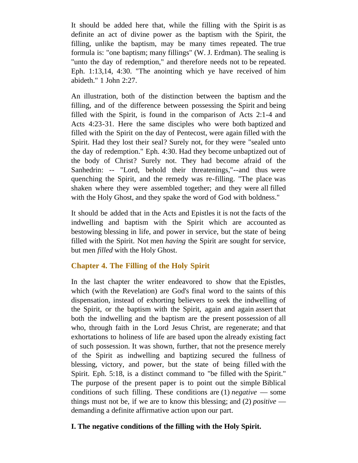It should be added here that, while the filling with the Spirit is as definite an act of divine power as the baptism with the Spirit, the filling, unlike the baptism, may be many times repeated. The true formula is: "one baptism; many fillings" (W. J. Erdman). The sealing is "unto the day of redemption," and therefore needs not to be repeated. Eph. 1:13,14, 4:30. "The anointing which ye have received of him abideth." 1 John 2:27.

An illustration, both of the distinction between the baptism and the filling, and of the difference between possessing the Spirit and being filled with the Spirit, is found in the comparison of Acts 2:1-4 and Acts 4:23-31. Here the same disciples who were both baptized and filled with the Spirit on the day of Pentecost, were again filled with the Spirit. Had they lost their seal? Surely not, for they were "sealed unto the day of redemption." Eph. 4:30. Had they become unbaptized out of the body of Christ? Surely not. They had become afraid of the Sanhedrin: -- "Lord, behold their threatenings,"--and thus were quenching the Spirit, and the remedy was re-filling. "The place was shaken where they were assembled together; and they were all filled with the Holy Ghost, and they spake the word of God with boldness."

It should be added that in the Acts and Epistles it is not the facts of the indwelling and baptism with the Spirit which are accounted as bestowing blessing in life, and power in service, but the state of being filled with the Spirit. Not men *having* the Spirit are sought for service, but men *filled* with the Holy Ghost.

## <span id="page-12-0"></span>**Chapter 4. The Filling of the Holy Spirit**

In the last chapter the writer endeavored to show that the Epistles, which (with the Revelation) are God's final word to the saints of this dispensation, instead of exhorting believers to seek the indwelling of the Spirit, or the baptism with the Spirit, again and again assert that both the indwelling and the baptism are the present possession of all who, through faith in the Lord Jesus Christ, are regenerate; and that exhortations to holiness of life are based upon the already existing fact of such possession. It was shown, further, that not the presence merely of the Spirit as indwelling and baptizing secured the fullness of blessing, victory, and power, but the state of being filled with the Spirit. Eph. 5:18, is a distinct command to "be filled with the Spirit." The purpose of the present paper is to point out the simple Biblical conditions of such filling. These conditions are (1) *negative* — some things must not be, if we are to know this blessing; and (2) *positive* demanding a definite affirmative action upon our part.

## **I. The negative conditions of the filling with the Holy Spirit.**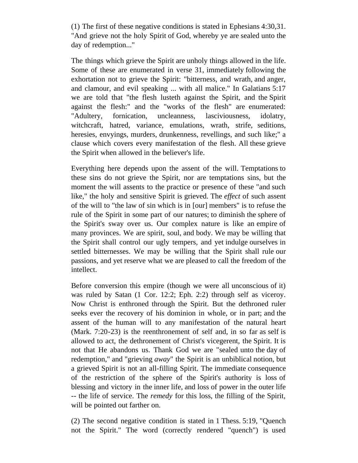(1) The first of these negative conditions is stated in Ephesians 4:30,31. "And grieve not the holy Spirit of God, whereby ye are sealed unto the day of redemption..."

The things which grieve the Spirit are unholy things allowed in the life. Some of these are enumerated in verse 31, immediately following the exhortation not to grieve the Spirit: "bitterness, and wrath, and anger, and clamour, and evil speaking ... with all malice." In Galatians 5:17 we are told that "the flesh lusteth against the Spirit, and the Spirit against the flesh:" and the "works of the flesh" are enumerated: "Adultery, fornication, uncleanness, lasciviousness, idolatry, witchcraft, hatred, variance, emulations, wrath, strife, seditions, heresies, envyings, murders, drunkenness, revellings, and such like;" a clause which covers every manifestation of the flesh. All these grieve the Spirit when allowed in the believer's life.

Everything here depends upon the assent of the will. Temptations to these sins do not grieve the Spirit, nor are temptations sins, but the moment the will assents to the practice or presence of these "and such like," the holy and sensitive Spirit is grieved. The *effect* of such assent of the will to "the law of sin which is in [our] members" is to refuse the rule of the Spirit in some part of our natures; to diminish the sphere of the Spirit's sway over us. Our complex nature is like an empire of many provinces. We are spirit, soul, and body. We may be willing that the Spirit shall control our ugly tempers, and yet indulge ourselves in settled bitternesses. We may be willing that the Spirit shall rule our passions, and yet reserve what we are pleased to call the freedom of the intellect.

Before conversion this empire (though we were all unconscious of it) was ruled by Satan (1 Cor. 12:2; Eph. 2:2) through self as viceroy. Now Christ is enthroned through the Spirit. But the dethroned ruler seeks ever the recovery of his dominion in whole, or in part; and the assent of the human will to any manifestation of the natural heart (Mark. 7:20-23) is the reenthronement of self and, in so far as self is allowed to act, the dethronement of Christ's vicegerent, the Spirit. It is not that He abandons us. Thank God we are "sealed unto the day of redemption," and "grieving *away*" the Spirit is an unbiblical notion, but a grieved Spirit is not an all-filling Spirit. The immediate consequence of the restriction of the sphere of the Spirit's authority is loss of blessing and victory in the inner life, and loss of power in the outer life -- the life of service. The *remedy* for this loss, the filling of the Spirit, will be pointed out farther on.

(2) The second negative condition is stated in 1 Thess. 5:19, "Quench not the Spirit." The word (correctly rendered "quench") is used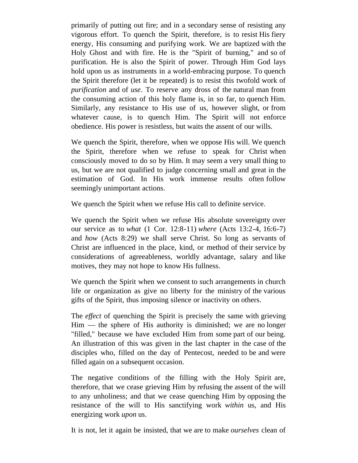primarily of putting out fire; and in a secondary sense of resisting any vigorous effort. To quench the Spirit, therefore, is to resist His fiery energy, His consuming and purifying work. We are baptized with the Holy Ghost and with fire. He is the "Spirit of burning," and so of purification. He is also the Spirit of power. Through Him God lays hold upon us as instruments in a world-embracing purpose. To quench the Spirit therefore (let it be repeated) is to resist this twofold work of *purification* and of *use*. To reserve any dross of the natural man from the consuming action of this holy flame is, in so far, to quench Him. Similarly, any resistance to His use of us, however slight, or from whatever cause, is to quench Him. The Spirit will not enforce obedience. His power is resistless, but waits the assent of our wills.

We quench the Spirit, therefore, when we oppose His will. We quench the Spirit, therefore when we refuse to speak for Christ when consciously moved to do so by Him. It may seem a very small thing to us, but we are not qualified to judge concerning small and great in the estimation of God. In His work immense results often follow seemingly unimportant actions.

We quench the Spirit when we refuse His call to definite service.

We quench the Spirit when we refuse His absolute sovereignty over our service as to *what* (1 Cor. 12:8-11) *where* (Acts 13:2-4, 16:6-7) and *how* (Acts 8:29) we shall serve Christ. So long as servants of Christ are influenced in the place, kind, or method of their service by considerations of agreeableness, worldly advantage, salary and like motives, they may not hope to know His fullness.

We quench the Spirit when we consent to such arrangements in church life or organization as give no liberty for the ministry of the various gifts of the Spirit, thus imposing silence or inactivity on others.

The *effect* of quenching the Spirit is precisely the same with grieving Him — the sphere of His authority is diminished; we are no longer "filled," because we have excluded Him from some part of our being. An illustration of this was given in the last chapter in the case of the disciples who, filled on the day of Pentecost, needed to be and were filled again on a subsequent occasion.

The negative conditions of the filling with the Holy Spirit are, therefore, that we cease grieving Him by refusing the assent of the will to any unholiness; and that we cease quenching Him by opposing the resistance of the will to His sanctifying work *within* us, and His energizing work *upon* us.

It is not, let it again be insisted, that we are to make *ourselves* clean of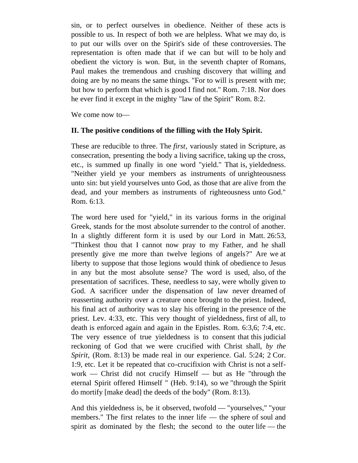sin, or to perfect ourselves in obedience. Neither of these acts is possible to us. In respect of both we are helpless. What we may do, is to put our wills over on the Spirit's side of these controversies. The representation is often made that if we can but will to be holy and obedient the victory is won. But, in the seventh chapter of Romans, Paul makes the tremendous and crushing discovery that willing and doing are by no means the same things. "For to will is present with me; but how to perform that which is good I find not." Rom. 7:18. Nor does he ever find it except in the mighty "law of the Spirit" Rom. 8:2.

We come now to—

#### **II. The positive conditions of the filling with the Holy Spirit.**

These are reducible to three. The *first*, variously stated in Scripture, as consecration, presenting the body a living sacrifice, taking up the cross, etc., is summed up finally in one word "yield." That is, yieldedness. "Neither yield ye your members as instruments of unrighteousness unto sin: but yield yourselves unto God, as those that are alive from the dead, and your members as instruments of righteousness unto God." Rom. 6:13.

The word here used for "yield," in its various forms in the original Greek, stands for the most absolute surrender to the control of another. In a slightly different form it is used by our Lord in Matt. 26:53, "Thinkest thou that I cannot now pray to my Father, and he shall presently give me more than twelve legions of angels?" Are we at liberty to suppose that those legions would think of obedience to Jesus in any but the most absolute sense? The word is used, also, of the presentation of sacrifices. These, needless to say, were wholly given to God. A sacrificer under the dispensation of law never dreamed of reasserting authority over a creature once brought to the priest. Indeed, his final act of authority was to slay his offering in the presence of the priest. Lev. 4:33, etc. This very thought of yieldedness, first of all, to death is enforced again and again in the Epistles. Rom. 6:3,6; 7:4, etc. The very essence of true yieldedness is to consent that this judicial reckoning of God that we were crucified with Christ shall, *by the Spirit*, (Rom. 8:13) be made real in our experience. Gal. 5:24; 2 Cor. 1:9, etc. Let it be repeated that co-crucifixion with Christ is not a selfwork — Christ did not crucify Himself — but as He "through the eternal Spirit offered Himself " (Heb. 9:14), so we "through the Spirit do mortify [make dead] the deeds of the body" (Rom. 8:13).

And this yieldedness is, be it observed, twofold — "yourselves," "your members." The first relates to the inner life — the sphere of soul and spirit as dominated by the flesh; the second to the outer life — the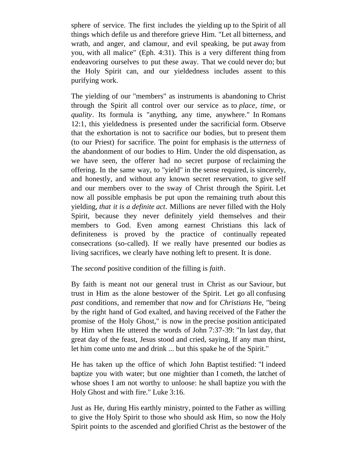sphere of service. The first includes the yielding up to the Spirit of all things which defile us and therefore grieve Him. "Let all bitterness, and wrath, and anger, and clamour, and evil speaking, be put away from you, with all malice" (Eph. 4:31). This is a very different thing from endeavoring ourselves to put these away. That we could never do; but the Holy Spirit can, and our yieldedness includes assent to this purifying work.

The yielding of our "members" as instruments is abandoning to Christ through the Spirit all control over our service as to *place*, *time*, or *quality*. Its formula is "anything, any time, anywhere." In Romans 12:1, this yieldedness is presented under the sacrificial form. Observe that the exhortation is not to sacrifice our bodies, but to present them (to our Priest) for sacrifice. The point for emphasis is the *utterness* of the abandonment of our bodies to Him. Under the old dispensation, as we have seen, the offerer had no secret purpose of reclaiming the offering. In the same way, to "yield" in the sense required, is sincerely, and honestly, and without any known secret reservation, to give self and our members over to the sway of Christ through the Spirit. Let now all possible emphasis be put upon the remaining truth about this yielding, *that it is a definite act*. Millions are never filled with the Holy Spirit, because they never definitely yield themselves and their members to God. Even among earnest Christians this lack of definiteness is proved by the practice of continually repeated consecrations (so-called). If we really have presented our bodies as living sacrifices, we clearly have nothing left to present. It is done.

The *second* positive condition of the filling is *faith*.

By faith is meant not our general trust in Christ as our Saviour, but trust in Him as the alone bestower of the Spirit. Let go all confusing *past* conditions, and remember that *now* and for *Christians* He, "being by the right hand of God exalted, and having received of the Father the promise of the Holy Ghost," is now in the precise position anticipated by Him when He uttered the words of John 7:37-39: "In last day, that great day of the feast, Jesus stood and cried, saying, If any man thirst, let him come unto me and drink ... but this spake he of the Spirit."

He has taken up the office of which John Baptist testified: "I indeed baptize you with water; but one mightier than I cometh, the latchet of whose shoes I am not worthy to unloose: he shall baptize you with the Holy Ghost and with fire." Luke 3:16.

Just as He, during His earthly ministry, pointed to the Father as willing to give the Holy Spirit to those who should ask Him, so now the Holy Spirit points to the ascended and glorified Christ as the bestower of the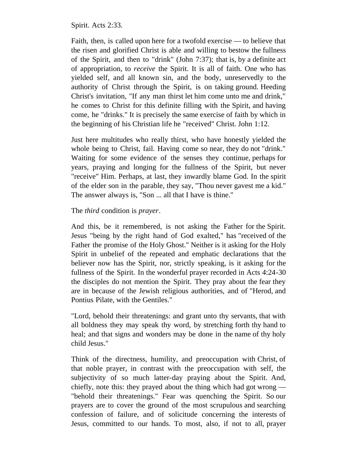Spirit. Acts 2:33.

Faith, then, is called upon here for a twofold exercise — to believe that the risen and glorified Christ is able and willing to bestow the fullness of the Spirit, and then to "drink" (John 7:37); that is, by a definite act of appropriation, to *receive* the Spirit. It is all of faith. One who has yielded self, and all known sin, and the body, unreservedly to the authority of Christ through the Spirit, is on taking ground. Heeding Christ's invitation, "If any man thirst let him come unto me and drink," he comes to Christ for this definite filling with the Spirit, and having come, he "drinks." It is precisely the same exercise of faith by which in the beginning of his Christian life he "received" Christ. John 1:12.

Just here multitudes who really thirst, who have honestly yielded the whole being to Christ, fail. Having come so near, they do not "drink." Waiting for some evidence of the senses they continue, perhaps for years, praying and longing for the fullness of the Spirit, but never "receive" Him. Perhaps, at last, they inwardly blame God. In the spirit of the elder son in the parable, they say, "Thou never gavest me a kid." The answer always is, "Son ... all that I have is thine."

#### The *third* condition is *prayer*.

And this, be it remembered, is not asking the Father for the Spirit. Jesus "being by the right hand of God exalted," has "received of the Father the promise of the Holy Ghost." Neither is it asking for the Holy Spirit in unbelief of the repeated and emphatic declarations that the believer now has the Spirit, nor, strictly speaking, is it asking for the fullness of the Spirit. In the wonderful prayer recorded in Acts 4:24-30 the disciples do not mention the Spirit. They pray about the fear they are in because of the Jewish religious authorities, and of "Herod, and Pontius Pilate, with the Gentiles."

"Lord, behold their threatenings: and grant unto thy servants, that with all boldness they may speak thy word, by stretching forth thy hand to heal; and that signs and wonders may be done in the name of thy holy child Jesus."

Think of the directness, humility, and preoccupation with Christ, of that noble prayer, in contrast with the preoccupation with self, the subjectivity of so much latter-day praying about the Spirit. And, chiefly, note this: they prayed about the thing which had got wrong — "behold their threatenings." Fear was quenching the Spirit. So our prayers are to cover the ground of the most scrupulous and searching confession of failure, and of solicitude concerning the interests of Jesus, committed to our hands. To most, also, if not to all, prayer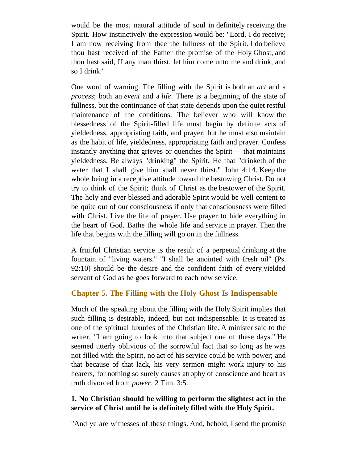would be the most natural attitude of soul in definitely receiving the Spirit. How instinctively the expression would be: "Lord, I do receive; I am now receiving from thee the fullness of the Spirit. I do believe thou hast received of the Father the promise of the Holy Ghost, and thou hast said, If any man thirst, let him come unto me and drink; and so I drink."

One word of warning. The filling with the Spirit is both an *act* and a *process*; both an *event* and a *life*. There is a beginning of the state of fullness, but the continuance of that state depends upon the quiet restful maintenance of the conditions. The believer who will know the blessedness of the Spirit-filled life must begin by definite acts of yieldedness, appropriating faith, and prayer; but he must also maintain as the habit of life, yieldedness, appropriating faith and prayer. Confess instantly anything that grieves or quenches the Spirit — that maintains yieldedness. Be always "drinking" the Spirit. He that "drinketh of the water that I shall give him shall never thirst." John 4:14. Keep the whole being in a receptive attitude toward the bestowing Christ. Do not try to think of the Spirit; think of Christ as the bestower of the Spirit. The holy and ever blessed and adorable Spirit would be well content to be quite out of our consciousness if only that consciousness were filled with Christ. Live the life of prayer. Use prayer to hide everything in the heart of God. Bathe the whole life and service in prayer. Then the life that begins with the filling will go on in the fullness.

A fruitful Christian service is the result of a perpetual drinking at the fountain of "living waters." "I shall be anointed with fresh oil" (Ps. 92:10) should be the desire and the confident faith of every yielded servant of God as he goes forward to each new service.

## <span id="page-18-0"></span>**Chapter 5. The Filling with the Holy Ghost Is Indispensable**

Much of the speaking about the filling with the Holy Spirit implies that such filling is desirable, indeed, but not indispensable. It is treated as one of the spiritual luxuries of the Christian life. A minister said to the writer, "I am going to look into that subject one of these days." He seemed utterly oblivious of the sorrowful fact that so long as he was not filled with the Spirit, no act of his service could be with power; and that because of that lack, his very sermon might work injury to his hearers, for nothing so surely causes atrophy of conscience and heart as truth divorced from *power*. 2 Tim. 3:5.

## **1. No Christian should be willing to perform the slightest act in the service of Christ until he is definitely filled with the Holy Spirit.**

"And ye are witnesses of these things. And, behold, I send the promise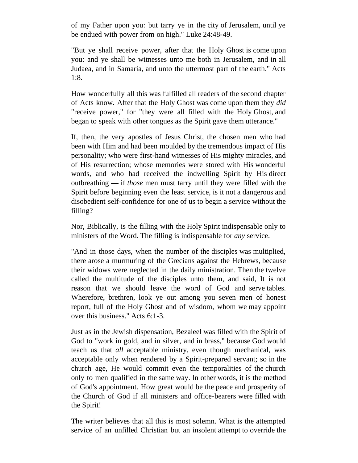of my Father upon you: but tarry ye in the city of Jerusalem, until ye be endued with power from on high." Luke 24:48-49.

"But ye shall receive power, after that the Holy Ghost is come upon you: and ye shall be witnesses unto me both in Jerusalem, and in all Judaea, and in Samaria, and unto the uttermost part of the earth." Acts 1:8.

How wonderfully all this was fulfilled all readers of the second chapter of Acts know. After that the Holy Ghost was come upon them they *did* "receive power," for "they were all filled with the Holy Ghost, and began to speak with other tongues as the Spirit gave them utterance."

If, then, the very apostles of Jesus Christ, the chosen men who had been with Him and had been moulded by the tremendous impact of His personality; who were first-hand witnesses of His mighty miracles, and of His resurrection; whose memories were stored with His wonderful words, and who had received the indwelling Spirit by His direct outbreathing — if *those* men must tarry until they were filled with the Spirit before beginning even the least service, is it not a dangerous and disobedient self-confidence for one of us to begin a service without the filling?

Nor, Biblically, is the filling with the Holy Spirit indispensable only to ministers of the Word. The filling is indispensable for *any* service.

"And in those days, when the number of the disciples was multiplied, there arose a murmuring of the Grecians against the Hebrews, because their widows were neglected in the daily ministration. Then the twelve called the multitude of the disciples unto them, and said, It is not reason that we should leave the word of God and serve tables. Wherefore, brethren, look ye out among you seven men of honest report, full of the Holy Ghost and of wisdom, whom we may appoint over this business." Acts 6:1-3.

Just as in the Jewish dispensation, Bezaleel was filled with the Spirit of God to "work in gold, and in silver, and in brass," because God would teach us that *all* acceptable ministry, even though mechanical, was acceptable only when rendered by a Spirit-prepared servant; so in the church age, He would commit even the temporalities of the church only to men qualified in the same way. In other words, it is the method of God's appointment. How great would be the peace and prosperity of the Church of God if all ministers and office-bearers were filled with the Spirit!

The writer believes that all this is most solemn. What is the attempted service of an unfilled Christian but an insolent attempt to override the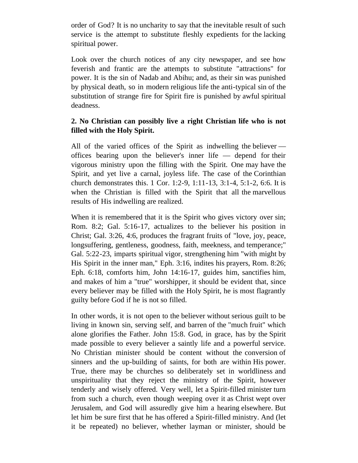order of God? It is no uncharity to say that the inevitable result of such service is the attempt to substitute fleshly expedients for the lacking spiritual power.

Look over the church notices of any city newspaper, and see how feverish and frantic are the attempts to substitute "attractions" for power. It is the sin of Nadab and Abihu; and, as their sin was punished by physical death, so in modern religious life the anti-typical sin of the substitution of strange fire for Spirit fire is punished by awful spiritual deadness.

## **2. No Christian can possibly live a right Christian life who is not filled with the Holy Spirit.**

All of the varied offices of the Spirit as indwelling the believer offices bearing upon the believer's inner life — depend for their vigorous ministry upon the filling with the Spirit. One may have the Spirit, and yet live a carnal, joyless life. The case of the Corinthian church demonstrates this. 1 Cor. 1:2-9, 1:11-13, 3:1-4, 5:1-2, 6:6. It is when the Christian is filled with the Spirit that all the marvellous results of His indwelling are realized.

When it is remembered that it is the Spirit who gives victory over sin; Rom. 8:2; Gal. 5:16-17, actualizes to the believer his position in Christ; Gal. 3:26, 4:6, produces the fragrant fruits of "love, joy, peace, longsuffering, gentleness, goodness, faith, meekness, and temperance;" Gal. 5:22-23, imparts spiritual vigor, strengthening him "with might by His Spirit in the inner man," Eph. 3:16, indites his prayers, Rom. 8:26; Eph. 6:18, comforts him, John 14:16-17, guides him, sanctifies him, and makes of him a "true" worshipper, it should be evident that, since every believer may be filled with the Holy Spirit, he is most flagrantly guilty before God if he is not so filled.

In other words, it is not open to the believer without serious guilt to be living in known sin, serving self, and barren of the "much fruit" which alone glorifies the Father. John 15:8. God, in grace, has by the Spirit made possible to every believer a saintly life and a powerful service. No Christian minister should be content without the conversion of sinners and the up-building of saints, for both are within His power. True, there may be churches so deliberately set in worldliness and unspirituality that they reject the ministry of the Spirit, however tenderly and wisely offered. Very well, let a Spirit-filled minister turn from such a church, even though weeping over it as Christ wept over Jerusalem, and God will assuredly give him a hearing elsewhere. But let him be sure first that he has offered a Spirit-filled ministry. And (let it be repeated) no believer, whether layman or minister, should be